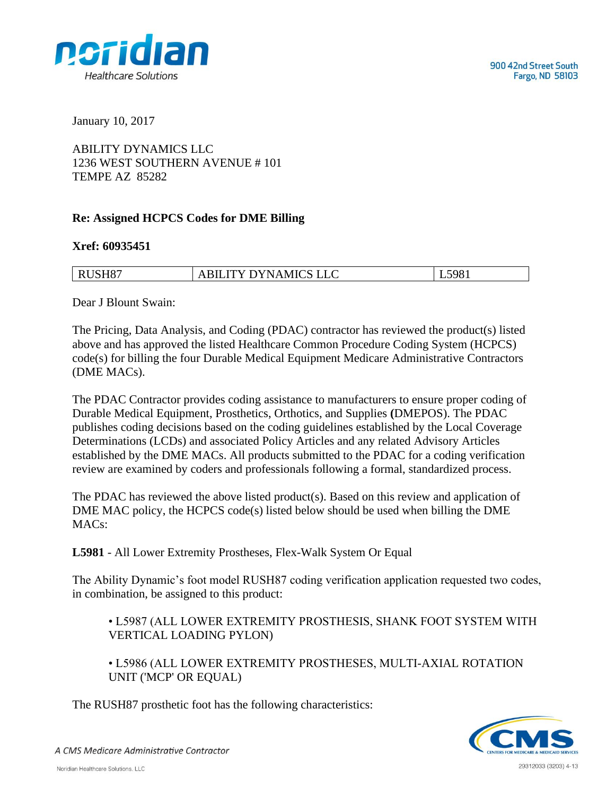

January 10, 2017

ABILITY DYNAMICS LLC 1236 WEST SOUTHERN AVENUE # 101 TEMPE AZ 85282

## **Re: Assigned HCPCS Codes for DME Billing**

## **Xref: 60935451**

| RUSH87 | <b>ABILITY DYNAMICS LLC</b> | L5981 |
|--------|-----------------------------|-------|

Dear J Blount Swain:

The Pricing, Data Analysis, and Coding (PDAC) contractor has reviewed the product(s) listed above and has approved the listed Healthcare Common Procedure Coding System (HCPCS) code(s) for billing the four Durable Medical Equipment Medicare Administrative Contractors (DME MACs).

The PDAC Contractor provides coding assistance to manufacturers to ensure proper coding of Durable Medical Equipment, Prosthetics, Orthotics, and Supplies **(**DMEPOS). The PDAC publishes coding decisions based on the coding guidelines established by the Local Coverage Determinations (LCDs) and associated Policy Articles and any related Advisory Articles established by the DME MACs. All products submitted to the PDAC for a coding verification review are examined by coders and professionals following a formal, standardized process.

The PDAC has reviewed the above listed product(s). Based on this review and application of DME MAC policy, the HCPCS code(s) listed below should be used when billing the DME MACs:

**L5981** - All Lower Extremity Prostheses, Flex-Walk System Or Equal

The Ability Dynamic's foot model RUSH87 coding verification application requested two codes, in combination, be assigned to this product:

• L5987 (ALL LOWER EXTREMITY PROSTHESIS, SHANK FOOT SYSTEM WITH VERTICAL LOADING PYLON)

• L5986 (ALL LOWER EXTREMITY PROSTHESES, MULTI-AXIAL ROTATION UNIT ('MCP' OR EQUAL)

The RUSH87 prosthetic foot has the following characteristics:



A CMS Medicare Administrative Contractor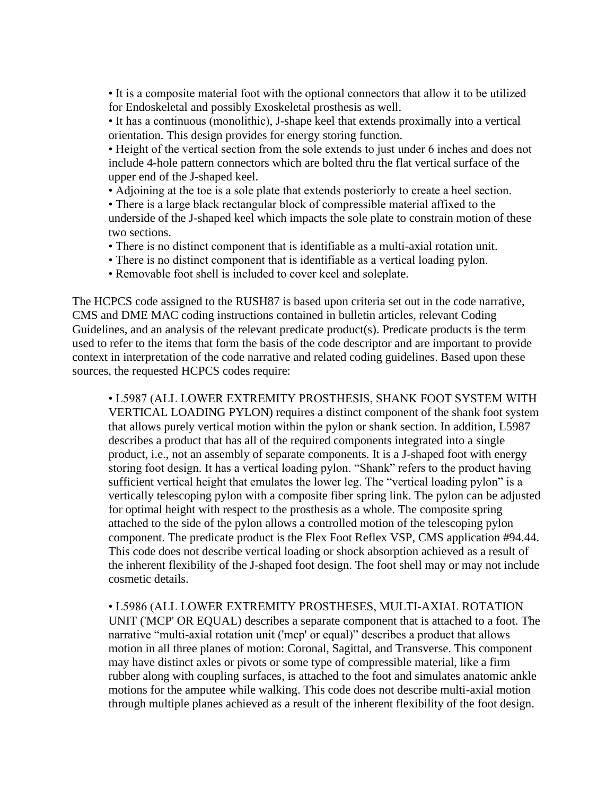• It is a composite material foot with the optional connectors that allow it to be utilized for Endoskeletal and possibly Exoskeletal prosthesis as well.

• It has a continuous (monolithic), J-shape keel that extends proximally into a vertical orientation. This design provides for energy storing function.

• Height of the vertical section from the sole extends to just under 6 inches and does not include 4-hole pattern connectors which are bolted thru the flat vertical surface of the upper end of the J-shaped keel.

• Adjoining at the toe is a sole plate that extends posteriorly to create a heel section.

• There is a large black rectangular block of compressible material affixed to the underside of the J-shaped keel which impacts the sole plate to constrain motion of these two sections.

- There is no distinct component that is identifiable as a multi-axial rotation unit.
- There is no distinct component that is identifiable as a vertical loading pylon.
- Removable foot shell is included to cover keel and soleplate.

The HCPCS code assigned to the RUSH87 is based upon criteria set out in the code narrative, CMS and DME MAC coding instructions contained in bulletin articles, relevant Coding Guidelines, and an analysis of the relevant predicate product(s). Predicate products is the term used to refer to the items that form the basis of the code descriptor and are important to provide context in interpretation of the code narrative and related coding guidelines. Based upon these sources, the requested HCPCS codes require:

• L5987 (ALL LOWER EXTREMITY PROSTHESIS, SHANK FOOT SYSTEM WITH VERTICAL LOADING PYLON) requires a distinct component of the shank foot system that allows purely vertical motion within the pylon or shank section. In addition, L5987 describes a product that has all of the required components integrated into a single product, i.e., not an assembly of separate components. It is a J-shaped foot with energy storing foot design. It has a vertical loading pylon. "Shank" refers to the product having sufficient vertical height that emulates the lower leg. The "vertical loading pylon" is a vertically telescoping pylon with a composite fiber spring link. The pylon can be adjusted for optimal height with respect to the prosthesis as a whole. The composite spring attached to the side of the pylon allows a controlled motion of the telescoping pylon component. The predicate product is the Flex Foot Reflex VSP, CMS application #94.44. This code does not describe vertical loading or shock absorption achieved as a result of the inherent flexibility of the J-shaped foot design. The foot shell may or may not include cosmetic details.

• L5986 (ALL LOWER EXTREMITY PROSTHESES, MULTI-AXIAL ROTATION UNIT ('MCP' OR EQUAL) describes a separate component that is attached to a foot. The narrative "multi-axial rotation unit ('mcp' or equal)" describes a product that allows motion in all three planes of motion: Coronal, Sagittal, and Transverse. This component may have distinct axles or pivots or some type of compressible material, like a firm rubber along with coupling surfaces, is attached to the foot and simulates anatomic ankle motions for the amputee while walking. This code does not describe multi-axial motion through multiple planes achieved as a result of the inherent flexibility of the foot design.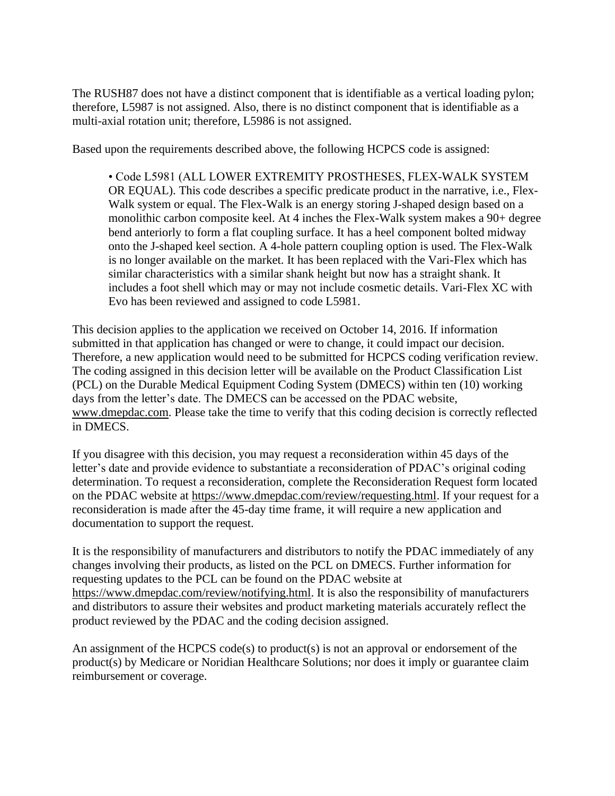The RUSH87 does not have a distinct component that is identifiable as a vertical loading pylon; therefore, L5987 is not assigned. Also, there is no distinct component that is identifiable as a multi-axial rotation unit; therefore, L5986 is not assigned.

Based upon the requirements described above, the following HCPCS code is assigned:

• Code L5981 (ALL LOWER EXTREMITY PROSTHESES, FLEX-WALK SYSTEM OR EQUAL). This code describes a specific predicate product in the narrative, i.e., Flex-Walk system or equal. The Flex-Walk is an energy storing J-shaped design based on a monolithic carbon composite keel. At 4 inches the Flex-Walk system makes a 90+ degree bend anteriorly to form a flat coupling surface. It has a heel component bolted midway onto the J-shaped keel section. A 4-hole pattern coupling option is used. The Flex-Walk is no longer available on the market. It has been replaced with the Vari-Flex which has similar characteristics with a similar shank height but now has a straight shank. It includes a foot shell which may or may not include cosmetic details. Vari-Flex XC with Evo has been reviewed and assigned to code L5981.

This decision applies to the application we received on October 14, 2016. If information submitted in that application has changed or were to change, it could impact our decision. Therefore, a new application would need to be submitted for HCPCS coding verification review. The coding assigned in this decision letter will be available on the Product Classification List (PCL) on the Durable Medical Equipment Coding System (DMECS) within ten (10) working days from the letter's date. The DMECS can be accessed on the PDAC website, www.dmepdac.com. Please take the time to verify that this coding decision is correctly reflected in DMECS.

If you disagree with this decision, you may request a reconsideration within 45 days of the letter's date and provide evidence to substantiate a reconsideration of PDAC's original coding determination. To request a reconsideration, complete the Reconsideration Request form located on the PDAC website at https://www.dmepdac.com/review/requesting.html. If your request for a reconsideration is made after the 45-day time frame, it will require a new application and documentation to support the request.

It is the responsibility of manufacturers and distributors to notify the PDAC immediately of any changes involving their products, as listed on the PCL on DMECS. Further information for requesting updates to the PCL can be found on the PDAC website at https://www.dmepdac.com/review/notifying.html. It is also the responsibility of manufacturers and distributors to assure their websites and product marketing materials accurately reflect the product reviewed by the PDAC and the coding decision assigned.

An assignment of the HCPCS code(s) to product(s) is not an approval or endorsement of the product(s) by Medicare or Noridian Healthcare Solutions; nor does it imply or guarantee claim reimbursement or coverage.